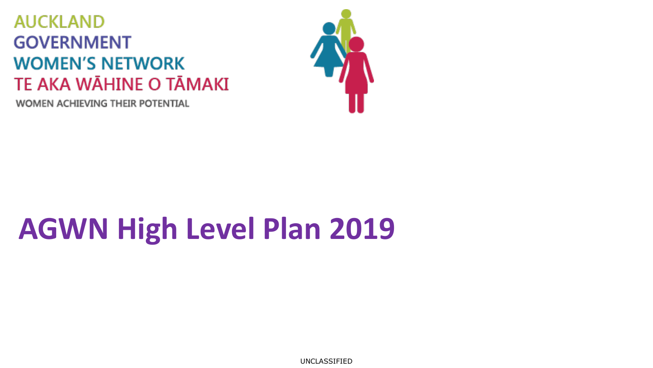## **AUCKLAND GOVERNMENT WOMEN'S NETWORK** TE AKA WĀHINE O TĀMAKI

**WOMEN ACHIEVING THEIR POTENTIAL** 



## **AGWN High Level Plan 2019**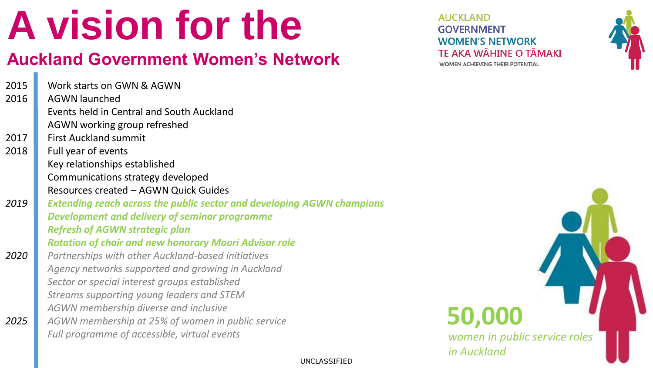# **A vision for the**

## **Auckland Government Women's Network**

2015 2016 Work starts on GWN & AGWN AGWN launched

- Events held in Central and South Auckland AGWN working group refreshed
- 2017 First Auckland summit

*2025*

- 2018 Full year of events Key relationships established Communications strategy developed Resources created – AGWN Quick Guides
- *2019 2020 Extending reach across the public sector and developing AGWN champions Development and delivery of seminar programme Refresh of AGWN strategic plan Rotation of chair and new honorary Maori Advisor role*

*Partnerships with other Auckland-based initiatives Agency networks supported and growing in Auckland Sector or special interest groups established Streams supporting young leaders and STEM AGWN membership diverse and inclusive AGWN membership at 25% of women in public service Full programme of accessible, virtual events* 

**AUCKLAND GOVERNMENT WOMEN'S NETWORK** TE AKA WĀHINE O TĀMAKĪ WOMEN ACHIEVING THEIR POTENTIAL



## **50,000**

*women in public service roles in Auckland*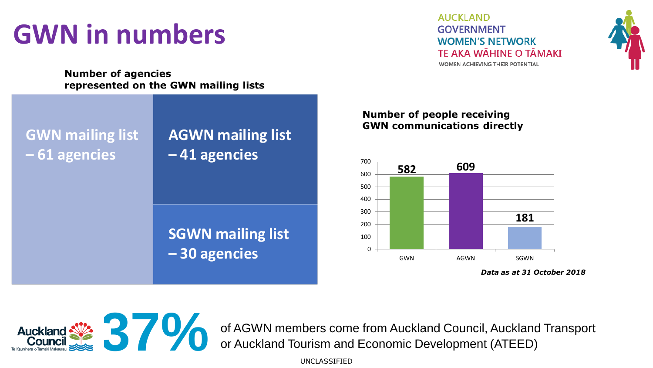## **GWN in numbers**

**AUCKLAND GOVERNMENT WOMEN'S NETWORK TF AKA WÄHINF O TĀMAKĪ** WOMEN ACHIEVING THEIR POTENTIAL



**Number of agencies** represented on the GWN mailing lists

**GWN mailing list – 61 agencies**

### **AGWN mailing list – 41 agencies**

### **SGWN mailing list – 30 agencies**

#### **Number of people receiving GWN communications directly**



*Data as at 31 October 2018*



of AGWN members come from Auckland Council, Auckland Transport or Auckland Tourism and Economic Development (ATEED) or Auckland Tourism and Economic Development (ATEED)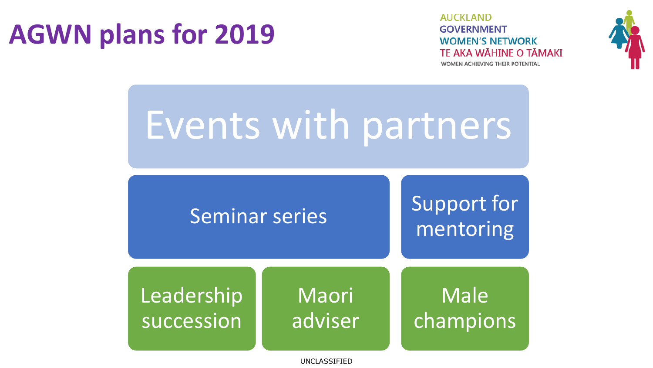## **AGWN plans for 2019**

**AUCKLAND GOVERNMENT WOMEN'S NETWORK** TE AKA WĀHINE O TĀMAKI WOMEN ACHIEVING THEIR POTENTIAL



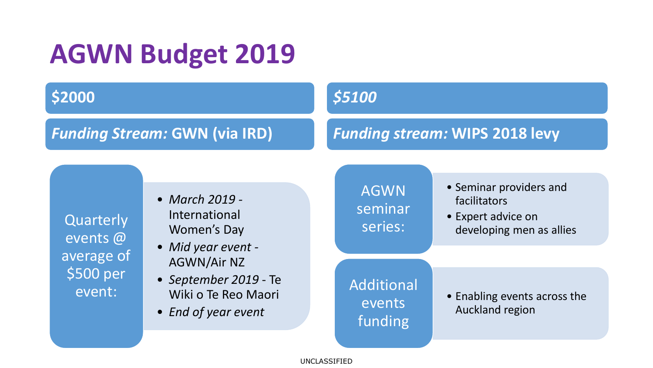## **AGWN Budget 2019**

### **\$2000**

### *Funding Stream:* **GWN (via IRD)**

### *\$5100*

### *Funding stream:* **WIPS 2018 levy**

**Quarterly** events @ average of \$500 per event:

- *March 2019 -* International Women's Day
- *Mid year event -* AGWN/Air NZ
- *September 2019*  Te Wiki o Te Reo Maori
- *End of year event*

AGWN seminar series:

- Seminar providers and facilitators
- Expert advice on developing men as allies

Additional events funding

• Enabling events across the Auckland region